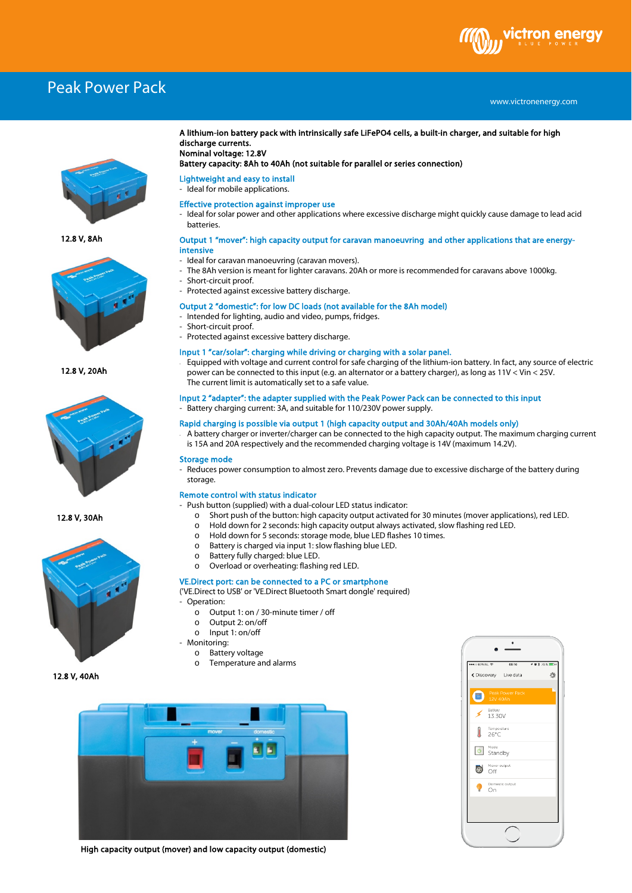# ctron ene

# Peak Power Pack

# www.victronenergy.com xxx



12.8 V, 8Ah



12.8 V, 20Ah



12.8 V, 30Ah



#### A lithium-ion battery pack with intrinsically safe LiFePO4 cells, a built-in charger, and suitable for high discharge currents. Nominal voltage: 12.8V

### Battery capacity: 8Ah to 40Ah (not suitable for parallel or series connection)

## Lightweight and easy to install

- Ideal for mobile applications.

#### Effective protection against improper use

Ideal for solar power and other applications where excessive discharge might quickly cause damage to lead acid batteries.

#### Output 1 "mover": high capacity output for caravan manoeuvring and other applications that are energyintensive

- Ideal for caravan manoeuvring (caravan movers).
- The 8Ah version is meant for lighter caravans. 20Ah or more is recommended for caravans above 1000kg.
- Short-circuit proof.
- Protected against excessive battery discharge.

#### Output 2 "domestic": for low DC loads (not available for the 8Ah model)

- Intended for lighting, audio and video, pumps, fridges.
- Short-circuit proof.
- Protected against excessive battery discharge.

#### Input 1 "car/solar": charging while driving or charging with a solar panel.

- Equipped with voltage and current control for safe charging of the lithium-ion battery. In fact, any source of electric power can be connected to this input (e.g. an alternator or a battery charger), as long as 11V < Vin < 25V. The current limit is automatically set to a safe value.

#### Input 2 "adapter": the adapter supplied with the Peak Power Pack can be connected to this input - Battery charging current: 3A, and suitable for 110/230V power supply.

## Rapid charging is possible via output 1 (high capacity output and 30Ah/40Ah models only)

- A battery charger or inverter/charger can be connected to the high capacity output. The maximum charging current is 15A and 20A respectively and the recommended charging voltage is 14V (maximum 14.2V).

#### Storage mode

- Reduces power consumption to almost zero. Prevents damage due to excessive discharge of the battery during storage.

#### Remote control with status indicator

- Push button (supplied) with a dual-colour LED status indicator:
	- o Short push of the button: high capacity output activated for 30 minutes (mover applications), red LED.<br>
	o Hold down for 2 seconds: high capacity output always activated, slow flashing red LED.
	- o Hold down for 2 seconds: high capacity output always activated, slow flashing red LED.<br>  $\circ$  Hold down for 5 seconds: storage mode, blue LED flashes 10 times.
	- o Hold down for 5 seconds: storage mode, blue LED flashes 10 times.<br>
	o Battery is charged via input 1: slow flashing blue LED.
	- $\circ$  Battery is charged via input 1: slow flashing blue LED.<br> $\circ$  Battery fully charged: blue LED.
	- Battery fully charged: blue LED.
	- o Overload or overheating: flashing red LED.

#### VE.Direct port: can be connected to a PC or smartphone

('VE.Direct to USB' or 'VE.Direct Bluetooth Smart dongle' required)

- Operation:
	- o Output 1: on / 30-minute timer / off
	- o Output 2: on/off
	- o Input 1: on/off
- Monitoring: o Battery voltage
	- o Temperature and alarms



High capacity output (mover) and low capacity output (domestic)